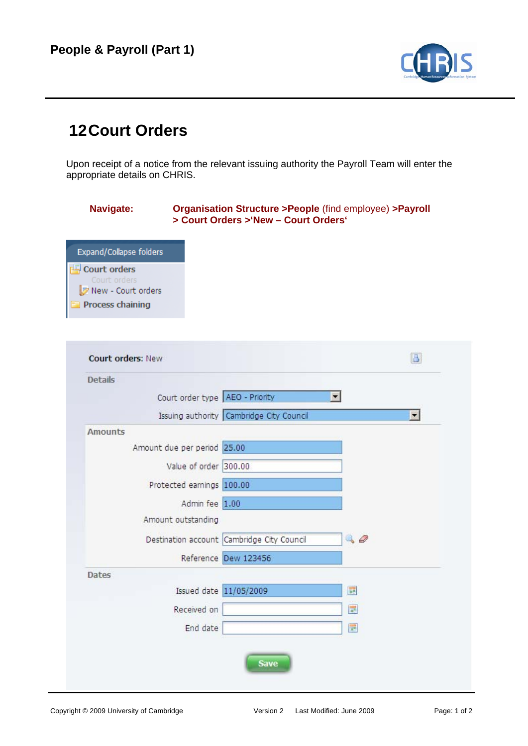

## **12 Court Orders**

Upon receipt of a notice from the relevant issuing authority the Payroll Team will enter the appropriate details on CHRIS.

## **Navigate: Organisation Structure >People** (find employee) **>Payroll > Court Orders >'New – Court Orders'**



| Court order type AEO - Priority |                                            | ▼          |   |
|---------------------------------|--------------------------------------------|------------|---|
|                                 |                                            |            |   |
|                                 | Issuing authority Cambridge City Council   |            | × |
| <b>Amounts</b>                  |                                            |            |   |
| Amount due per period 25.00     |                                            |            |   |
| Value of order 300.00           |                                            |            |   |
| Protected earnings 100.00       |                                            |            |   |
| Admin fee 1.00                  |                                            |            |   |
| Amount outstanding              |                                            |            |   |
|                                 | Destination account Cambridge City Council | $\sqrt{a}$ |   |
|                                 | Reference Dew 123456                       |            |   |
| <b>Dates</b>                    |                                            |            |   |
| Issued date 11/05/2009          |                                            | <b>III</b> |   |
| Received on                     |                                            | E          |   |
| End date                        |                                            | <b>us</b>  |   |
|                                 |                                            |            |   |